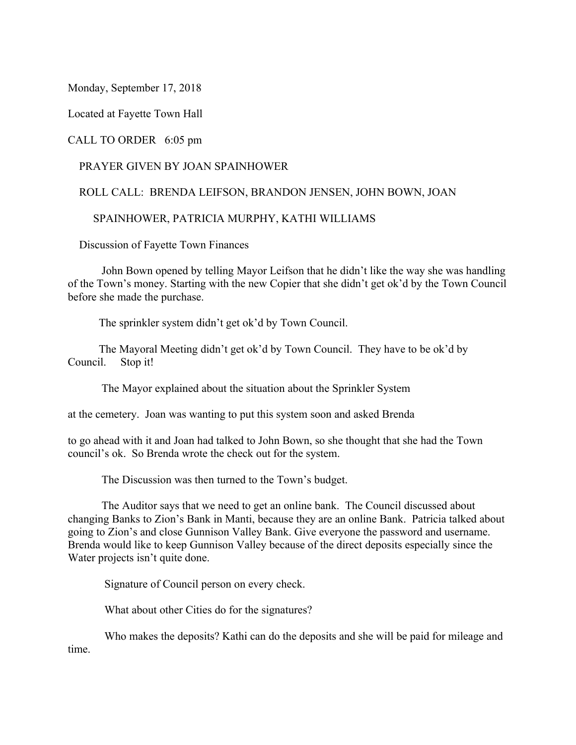Monday, September 17, 2018

Located at Fayette Town Hall

CALL TO ORDER 6:05 pm

## PRAYER GIVEN BY JOAN SPAINHOWER

## ROLL CALL: BRENDA LEIFSON, BRANDON JENSEN, JOHN BOWN, JOAN

## SPAINHOWER, PATRICIA MURPHY, KATHI WILLIAMS

Discussion of Fayette Town Finances

 John Bown opened by telling Mayor Leifson that he didn't like the way she was handling of the Town's money. Starting with the new Copier that she didn't get ok'd by the Town Council before she made the purchase.

The sprinkler system didn't get ok'd by Town Council.

 The Mayoral Meeting didn't get ok'd by Town Council. They have to be ok'd by Council. Stop it!

The Mayor explained about the situation about the Sprinkler System

at the cemetery. Joan was wanting to put this system soon and asked Brenda

to go ahead with it and Joan had talked to John Bown, so she thought that she had the Town council's ok. So Brenda wrote the check out for the system.

The Discussion was then turned to the Town's budget.

 The Auditor says that we need to get an online bank. The Council discussed about changing Banks to Zion's Bank in Manti, because they are an online Bank. Patricia talked about going to Zion's and close Gunnison Valley Bank. Give everyone the password and username. Brenda would like to keep Gunnison Valley because of the direct deposits especially since the Water projects isn't quite done.

Signature of Council person on every check.

What about other Cities do for the signatures?

 Who makes the deposits? Kathi can do the deposits and she will be paid for mileage and time.